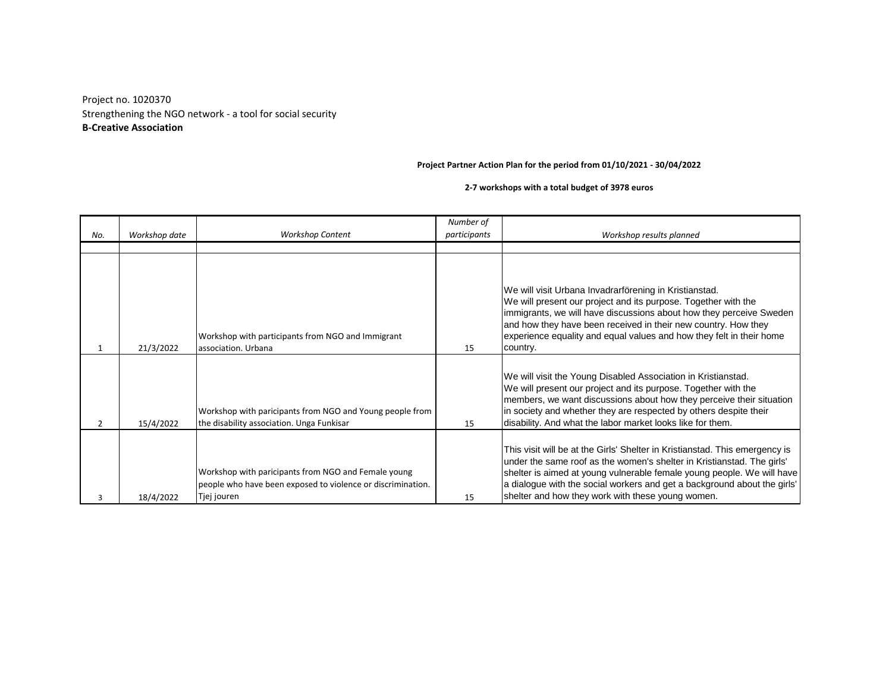## Strengthening the NGO network - a tool for social security Project no. 1020370 **B-Creative Association**

## **Project Partner Action Plan for the period from 01/10/2021 - 30/04/2022**

## **2-7 workshops with a total budget of 3978 euros**

|     |               |                                                                                                                                   | Number of    |                                                                                                                                                                                                                                                                                                                                                                  |
|-----|---------------|-----------------------------------------------------------------------------------------------------------------------------------|--------------|------------------------------------------------------------------------------------------------------------------------------------------------------------------------------------------------------------------------------------------------------------------------------------------------------------------------------------------------------------------|
| No. | Workshop date | <b>Workshop Content</b>                                                                                                           | participants | Workshop results planned                                                                                                                                                                                                                                                                                                                                         |
|     |               |                                                                                                                                   |              |                                                                                                                                                                                                                                                                                                                                                                  |
|     | 21/3/2022     | Workshop with participants from NGO and Immigrant<br>association. Urbana                                                          | 15           | We will visit Urbana Invadrarförening in Kristianstad.<br>We will present our project and its purpose. Together with the<br>immigrants, we will have discussions about how they perceive Sweden<br>and how they have been received in their new country. How they<br>experience equality and equal values and how they felt in their home<br>country.            |
| 2   | 15/4/2022     | Workshop with paricipants from NGO and Young people from<br>the disability association. Unga Funkisar                             | 15           | We will visit the Young Disabled Association in Kristianstad.<br>We will present our project and its purpose. Together with the<br>members, we want discussions about how they perceive their situation<br>in society and whether they are respected by others despite their<br>disability. And what the labor market looks like for them.                       |
| 3   | 18/4/2022     | Workshop with paricipants from NGO and Female young<br>people who have been exposed to violence or discrimination.<br>Tjej jouren | 15           | This visit will be at the Girls' Shelter in Kristianstad. This emergency is<br>under the same roof as the women's shelter in Kristianstad. The girls'<br>shelter is aimed at young vulnerable female young people. We will have<br>a dialogue with the social workers and get a background about the girls'<br>shelter and how they work with these young women. |